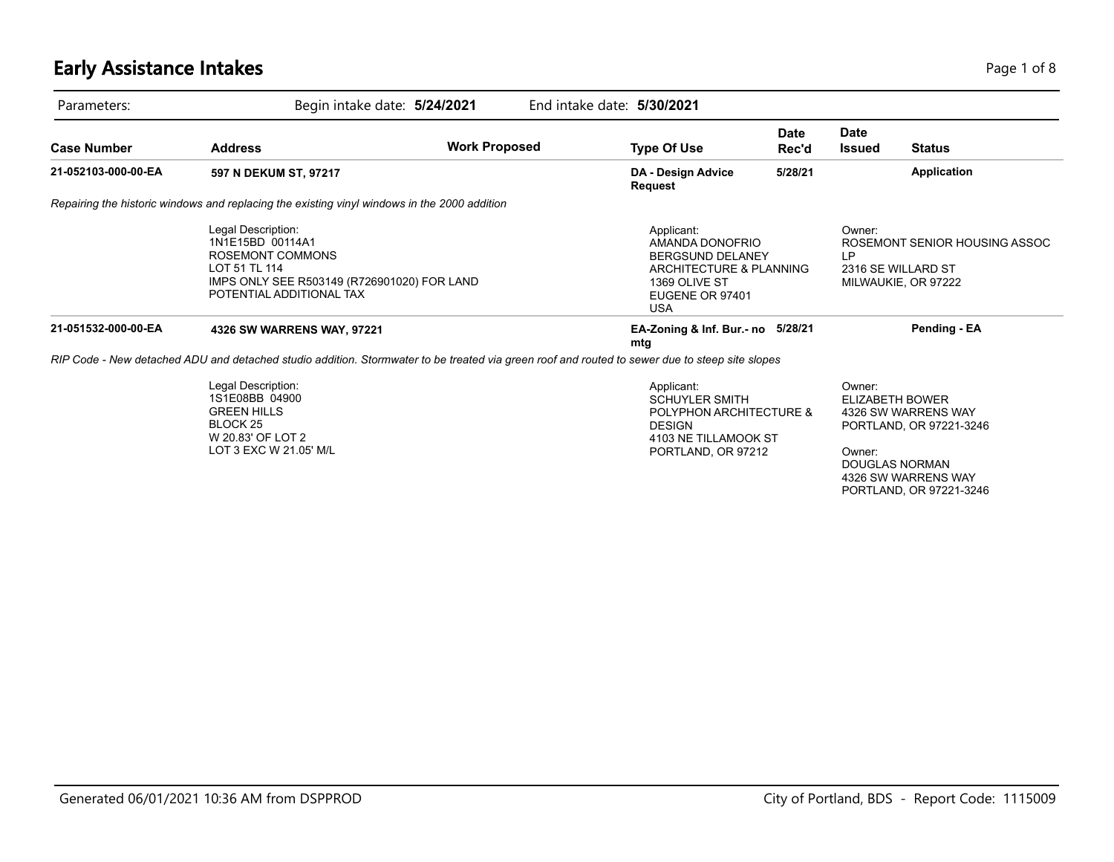# **Early Assistance Intakes** Page 1 of 8

| Parameters:         |                                                                                                                                                               | Begin intake date: 5/24/2021 | End intake date: 5/30/2021                                                                                                            |                      |                              |                                                                                                                                                     |
|---------------------|---------------------------------------------------------------------------------------------------------------------------------------------------------------|------------------------------|---------------------------------------------------------------------------------------------------------------------------------------|----------------------|------------------------------|-----------------------------------------------------------------------------------------------------------------------------------------------------|
| <b>Case Number</b>  | <b>Address</b>                                                                                                                                                | <b>Work Proposed</b>         | <b>Type Of Use</b>                                                                                                                    | <b>Date</b><br>Rec'd | <b>Date</b><br><b>Issued</b> | <b>Status</b>                                                                                                                                       |
| 21-052103-000-00-EA | 597 N DEKUM ST, 97217                                                                                                                                         |                              | DA - Design Advice<br><b>Request</b>                                                                                                  | 5/28/21              |                              | Application                                                                                                                                         |
|                     | Repairing the historic windows and replacing the existing vinyl windows in the 2000 addition                                                                  |                              |                                                                                                                                       |                      |                              |                                                                                                                                                     |
|                     | Legal Description:<br>1N1E15BD 00114A1<br><b>ROSEMONT COMMONS</b><br>LOT 51 TL 114<br>IMPS ONLY SEE R503149 (R726901020) FOR LAND<br>POTENTIAL ADDITIONAL TAX |                              | Applicant:<br>AMANDA DONOFRIO<br><b>BERGSUND DELANEY</b><br>ARCHITECTURE & PLANNING<br>1369 OLIVE ST<br>EUGENE OR 97401<br><b>USA</b> |                      | Owner:<br>LP                 | ROSEMONT SENIOR HOUSING ASSOC<br>2316 SE WILLARD ST<br>MILWAUKIE, OR 97222                                                                          |
| 21-051532-000-00-EA | 4326 SW WARRENS WAY, 97221                                                                                                                                    |                              | EA-Zoning & Inf. Bur.- no 5/28/21<br>mtg                                                                                              |                      |                              | Pending - EA                                                                                                                                        |
|                     | RIP Code - New detached ADU and detached studio addition. Stormwater to be treated via green roof and routed to sewer due to steep site slopes                |                              |                                                                                                                                       |                      |                              |                                                                                                                                                     |
|                     | Legal Description:<br>1S1E08BB 04900<br><b>GREEN HILLS</b><br>BLOCK 25<br>W 20.83' OF LOT 2<br>LOT 3 EXC W 21.05' M/L                                         |                              | Applicant:<br><b>SCHUYLER SMITH</b><br>POLYPHON ARCHITECTURE &<br><b>DESIGN</b><br>4103 NE TILLAMOOK ST<br>PORTLAND, OR 97212         |                      | Owner:<br>Owner:             | <b>ELIZABETH BOWER</b><br>4326 SW WARRENS WAY<br>PORTLAND, OR 97221-3246<br><b>DOUGLAS NORMAN</b><br>4326 SW WARRENS WAY<br>PORTLAND, OR 97221-3246 |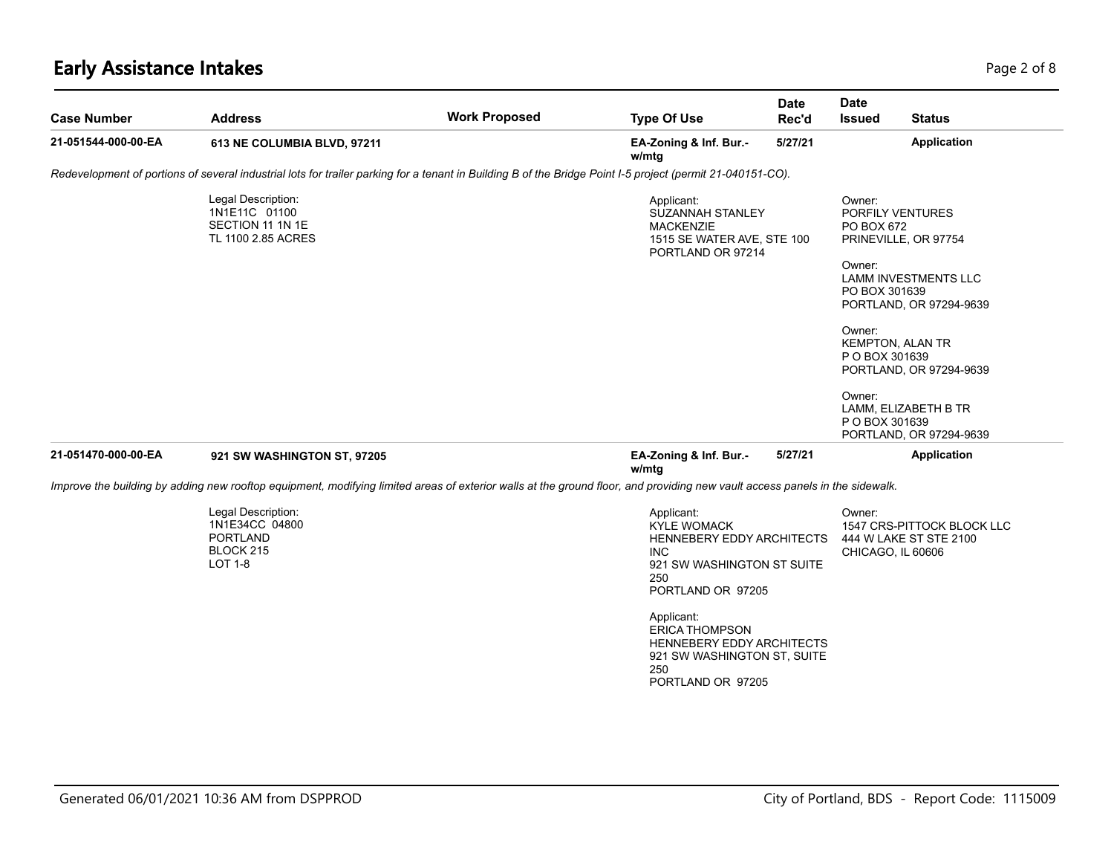# **Early Assistance Intakes** Page 2 of 8

| <b>Case Number</b>  | <b>Address</b>                                                                                                                                                              | <b>Work Proposed</b> | <b>Type Of Use</b>                                                                                                                                                                                                                                             | <b>Date</b><br>Rec'd | <b>Date</b><br><b>Issued</b>                                                                                                                                                                           | <b>Status</b>                                                                                         |
|---------------------|-----------------------------------------------------------------------------------------------------------------------------------------------------------------------------|----------------------|----------------------------------------------------------------------------------------------------------------------------------------------------------------------------------------------------------------------------------------------------------------|----------------------|--------------------------------------------------------------------------------------------------------------------------------------------------------------------------------------------------------|-------------------------------------------------------------------------------------------------------|
| 21-051544-000-00-EA | 613 NE COLUMBIA BLVD, 97211                                                                                                                                                 |                      | EA-Zoning & Inf. Bur.-<br>w/mtg                                                                                                                                                                                                                                | 5/27/21              |                                                                                                                                                                                                        | Application                                                                                           |
|                     | Redevelopment of portions of several industrial lots for trailer parking for a tenant in Building B of the Bridge Point I-5 project (permit 21-040151-CO).                  |                      |                                                                                                                                                                                                                                                                |                      |                                                                                                                                                                                                        |                                                                                                       |
|                     | Legal Description:<br>1N1E11C 01100<br>SECTION 11 1N 1E<br>TL 1100 2.85 ACRES                                                                                               |                      | Applicant:<br>SUZANNAH STANLEY<br><b>MACKENZIE</b><br>1515 SE WATER AVE, STE 100<br>PORTLAND OR 97214                                                                                                                                                          |                      | Owner:<br>PORFILY VENTURES<br>PO BOX 672<br>PRINEVILLE, OR 97754<br>Owner:<br>PO BOX 301639<br>Owner:<br><b>KEMPTON, ALAN TR</b><br>P O BOX 301639<br>Owner:<br>LAMM, ELIZABETH B TR<br>P O BOX 301639 | LAMM INVESTMENTS LLC<br>PORTLAND, OR 97294-9639<br>PORTLAND, OR 97294-9639<br>PORTLAND, OR 97294-9639 |
| 21-051470-000-00-EA | 921 SW WASHINGTON ST, 97205                                                                                                                                                 |                      | EA-Zoning & Inf. Bur.-<br>w/mtg                                                                                                                                                                                                                                | 5/27/21              |                                                                                                                                                                                                        | Application                                                                                           |
|                     | Improve the building by adding new rooftop equipment, modifying limited areas of exterior walls at the ground floor, and providing new vault access panels in the sidewalk. |                      |                                                                                                                                                                                                                                                                |                      |                                                                                                                                                                                                        |                                                                                                       |
|                     | Legal Description:<br>1N1E34CC 04800<br>PORTLAND<br>BLOCK 215<br><b>LOT 1-8</b>                                                                                             |                      | Applicant:<br><b>KYLE WOMACK</b><br>HENNEBERY EDDY ARCHITECTS<br>INC.<br>921 SW WASHINGTON ST SUITE<br>250<br>PORTLAND OR 97205<br>Applicant:<br><b>ERICA THOMPSON</b><br>HENNEBERY EDDY ARCHITECTS<br>921 SW WASHINGTON ST, SUITE<br>250<br>PORTLAND OR 97205 |                      | Owner:<br>CHICAGO, IL 60606                                                                                                                                                                            | 1547 CRS-PITTOCK BLOCK LLC<br>444 W LAKE ST STE 2100                                                  |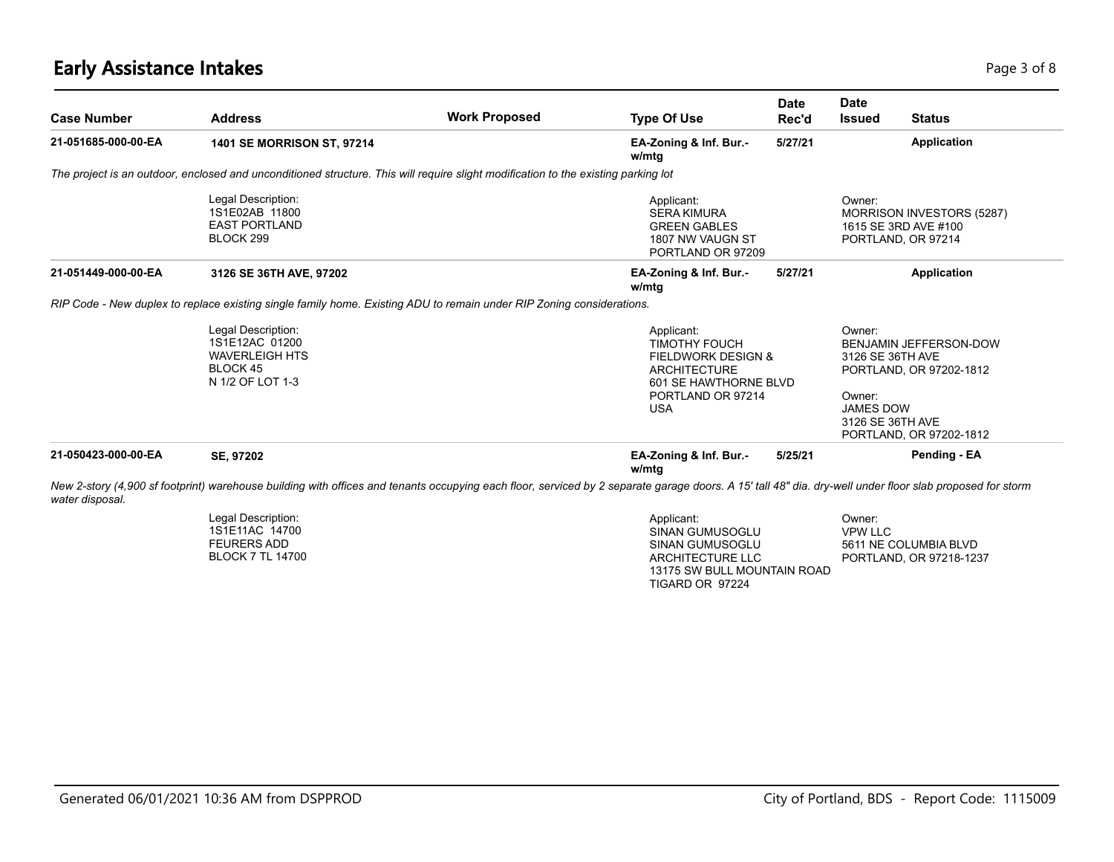#### **Early Assistance Intakes** Page 1 of 8 and 2 and 2 and 2 and 2 and 2 and 2 and 2 and 2 and 2 and 2 and 2 and 2 and 2 and 2 and 2 and 2 and 2 and 2 and 2 and 2 and 2 and 2 and 2 and 2 and 2 and 2 and 2 and 2 and 2 and 2 and

| <b>Case Number</b>  | <b>Address</b>                                                                                                                                                                                           | <b>Work Proposed</b> | <b>Type Of Use</b>                                                                               | <b>Date</b><br>Rec'd                                                        | <b>Date</b><br><b>Issued</b> | <b>Status</b>                                                                                                                            |
|---------------------|----------------------------------------------------------------------------------------------------------------------------------------------------------------------------------------------------------|----------------------|--------------------------------------------------------------------------------------------------|-----------------------------------------------------------------------------|------------------------------|------------------------------------------------------------------------------------------------------------------------------------------|
| 21-051685-000-00-EA | <b>1401 SE MORRISON ST, 97214</b>                                                                                                                                                                        |                      | EA-Zoning & Inf. Bur.-<br>w/mtg                                                                  | 5/27/21                                                                     |                              | <b>Application</b>                                                                                                                       |
|                     | The project is an outdoor, enclosed and unconditioned structure. This will require slight modification to the existing parking lot                                                                       |                      |                                                                                                  |                                                                             |                              |                                                                                                                                          |
|                     | Legal Description:<br>1S1E02AB 11800<br><b>EAST PORTLAND</b><br>BLOCK 299                                                                                                                                |                      | Applicant:<br><b>SERA KIMURA</b><br><b>GREEN GABLES</b><br>1807 NW VAUGN ST<br>PORTLAND OR 97209 |                                                                             | Owner:                       | MORRISON INVESTORS (5287)<br>1615 SE 3RD AVE #100<br>PORTLAND, OR 97214                                                                  |
| 21-051449-000-00-EA | 3126 SE 36TH AVE, 97202                                                                                                                                                                                  |                      | EA-Zoning & Inf. Bur.-<br>w/mtg                                                                  | 5/27/21                                                                     |                              | <b>Application</b>                                                                                                                       |
|                     | RIP Code - New duplex to replace existing single family home. Existing ADU to remain under RIP Zoning considerations.                                                                                    |                      |                                                                                                  |                                                                             |                              |                                                                                                                                          |
|                     | Legal Description:<br>1S1E12AC 01200<br><b>WAVERLEIGH HTS</b><br>BLOCK 45<br>N 1/2 OF LOT 1-3                                                                                                            |                      | Applicant:<br><b>TIMOTHY FOUCH</b><br><b>ARCHITECTURE</b><br><b>USA</b>                          | <b>FIELDWORK DESIGN &amp;</b><br>601 SE HAWTHORNE BLVD<br>PORTLAND OR 97214 |                              | BENJAMIN JEFFERSON-DOW<br>3126 SE 36TH AVE<br>PORTLAND, OR 97202-1812<br><b>JAMES DOW</b><br>3126 SE 36TH AVE<br>PORTLAND, OR 97202-1812 |
| 21-050423-000-00-EA | SE, 97202                                                                                                                                                                                                |                      | EA-Zoning & Inf. Bur.-<br>w/mtg                                                                  | 5/25/21                                                                     |                              | Pending - EA                                                                                                                             |
| water disposal.     | New 2-story (4,900 sf footprint) warehouse building with offices and tenants occupying each floor, serviced by 2 separate garage doors. A 15' tall 48" dia. dry-well under floor slab proposed for storm |                      |                                                                                                  |                                                                             |                              |                                                                                                                                          |
|                     | Legal Description:<br>1S1E11AC 14700<br><b>FEURERS ADD</b><br><b>BLOCK 7 TL 14700</b>                                                                                                                    |                      | Applicant:<br><b>SINAN GUMUSOGLU</b><br><b>SINAN GUMUSOGLU</b><br>ARCHITECTURE LLC               |                                                                             | Owner:<br><b>VPW LLC</b>     | 5611 NE COLUMBIA BLVD<br>PORTLAND, OR 97218-1237                                                                                         |

13175 SW BULL MOUNTAIN ROAD

TIGARD OR 97224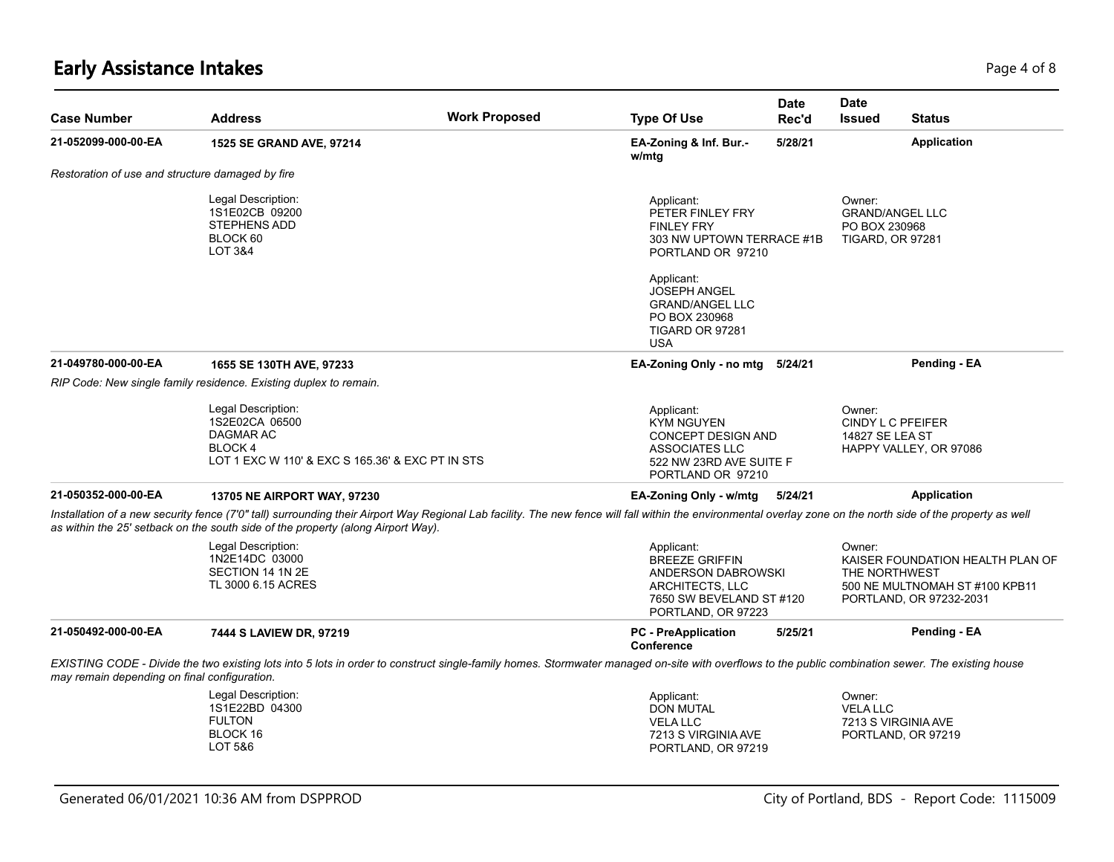# **Early Assistance Intakes** Page 4 of 8

| <b>Case Number</b>                                                                 | <b>Address</b>                                                                                                                                                                                                                                                                                    | <b>Work Proposed</b> | <b>Type Of Use</b>                                                                                                                                                   | <b>Date</b><br>Rec'd | <b>Date</b><br><b>Issued</b>                                                 | <b>Status</b>                                                                                 |
|------------------------------------------------------------------------------------|---------------------------------------------------------------------------------------------------------------------------------------------------------------------------------------------------------------------------------------------------------------------------------------------------|----------------------|----------------------------------------------------------------------------------------------------------------------------------------------------------------------|----------------------|------------------------------------------------------------------------------|-----------------------------------------------------------------------------------------------|
| 21-052099-000-00-EA                                                                | 1525 SE GRAND AVE, 97214                                                                                                                                                                                                                                                                          |                      | EA-Zoning & Inf. Bur.-<br>w/mtg                                                                                                                                      | 5/28/21              |                                                                              | <b>Application</b>                                                                            |
| Restoration of use and structure damaged by fire                                   |                                                                                                                                                                                                                                                                                                   |                      |                                                                                                                                                                      |                      |                                                                              |                                                                                               |
| Legal Description:<br>1S1E02CB 09200<br><b>STEPHENS ADD</b><br>BLOCK 60<br>LOT 3&4 |                                                                                                                                                                                                                                                                                                   |                      | Applicant:<br>PETER FINLEY FRY<br><b>FINLEY FRY</b><br>303 NW UPTOWN TERRACE #1B<br>PORTLAND OR 97210<br>Applicant:<br><b>JOSEPH ANGEL</b><br><b>GRAND/ANGEL LLC</b> |                      | Owner:<br><b>GRAND/ANGEL LLC</b><br>PO BOX 230968<br><b>TIGARD, OR 97281</b> |                                                                                               |
|                                                                                    |                                                                                                                                                                                                                                                                                                   |                      | PO BOX 230968<br>TIGARD OR 97281<br><b>USA</b>                                                                                                                       |                      |                                                                              |                                                                                               |
| 21-049780-000-00-EA                                                                | 1655 SE 130TH AVE, 97233                                                                                                                                                                                                                                                                          |                      | EA-Zoning Only - no mtg 5/24/21                                                                                                                                      |                      |                                                                              | Pending - EA                                                                                  |
|                                                                                    | RIP Code: New single family residence. Existing duplex to remain.                                                                                                                                                                                                                                 |                      |                                                                                                                                                                      |                      |                                                                              |                                                                                               |
|                                                                                    | Legal Description:<br>1S2E02CA 06500<br>DAGMAR AC<br>BLOCK 4<br>LOT 1 EXC W 110' & EXC S 165.36' & EXC PT IN STS                                                                                                                                                                                  |                      | Applicant:<br>KYM NGUYEN<br>CONCEPT DESIGN AND<br><b>ASSOCIATES LLC</b><br>522 NW 23RD AVE SUITE F<br>PORTLAND OR 97210                                              |                      | Owner:<br>CINDY L C PFEIFER<br>14827 SE LEA ST<br>HAPPY VALLEY, OR 97086     |                                                                                               |
| 21-050352-000-00-EA                                                                | <b>13705 NE AIRPORT WAY, 97230</b>                                                                                                                                                                                                                                                                |                      | EA-Zoning Only - w/mtg                                                                                                                                               | 5/24/21              |                                                                              | <b>Application</b>                                                                            |
|                                                                                    | Installation of a new security fence (7'0" tall) surrounding their Airport Way Regional Lab facility. The new fence will fall within the environmental overlay zone on the north side of the property as well<br>as within the 25' setback on the south side of the property (along Airport Way). |                      |                                                                                                                                                                      |                      |                                                                              |                                                                                               |
|                                                                                    | Legal Description:<br>1N2E14DC 03000<br>SECTION 14 1N 2E<br>TL 3000 6.15 ACRES                                                                                                                                                                                                                    |                      | Applicant:<br><b>BREEZE GRIFFIN</b><br>ANDERSON DABROWSKI<br>ARCHITECTS, LLC<br>7650 SW BEVELAND ST #120<br>PORTLAND, OR 97223                                       |                      | Owner:<br>THE NORTHWEST                                                      | KAISER FOUNDATION HEALTH PLAN OF<br>500 NE MULTNOMAH ST #100 KPB11<br>PORTLAND, OR 97232-2031 |
| 21-050492-000-00-EA                                                                | 7444 S LAVIEW DR, 97219                                                                                                                                                                                                                                                                           |                      | <b>PC</b> - PreApplication<br>Conference                                                                                                                             | 5/25/21              |                                                                              | Pending - EA                                                                                  |
| may remain depending on final configuration.                                       | EXISTING CODE - Divide the two existing lots into 5 lots in order to construct single-family homes. Stormwater managed on-site with overflows to the public combination sewer. The existing house                                                                                                 |                      |                                                                                                                                                                      |                      |                                                                              |                                                                                               |
|                                                                                    | Legal Description:<br>1S1E22BD 04300<br><b>FULTON</b><br>BLOCK 16<br>LOT 5&6                                                                                                                                                                                                                      |                      | Applicant:<br>DON MUTAL<br><b>VELA LLC</b><br>7213 S VIRGINIA AVE<br>PORTLAND, OR 97219                                                                              |                      | Owner:<br><b>VELA LLC</b><br>7213 S VIRGINIA AVE<br>PORTLAND, OR 97219       |                                                                                               |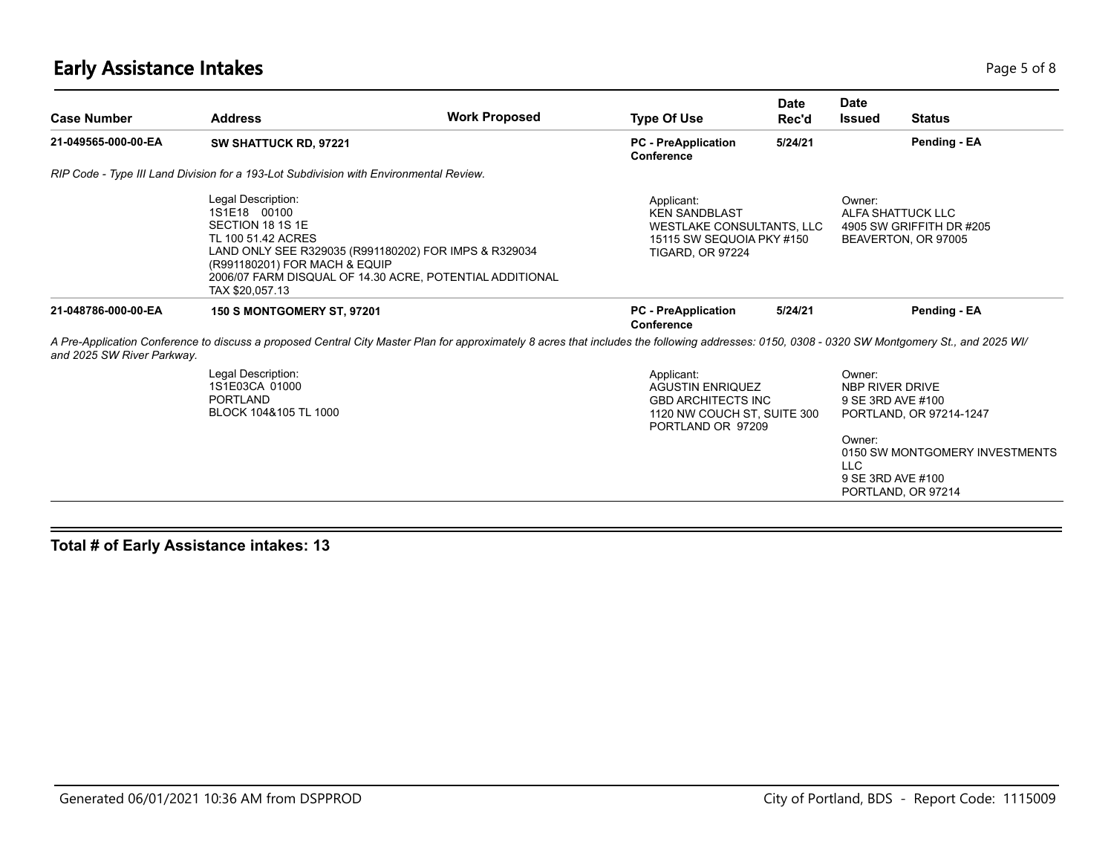# **Early Assistance Intakes** Page 1 of 8 and 2012 12:00 Page 1 of 8 and 2012 12:00 Page 1 of 8 and 2013 12:00 Page 5 of 8

| <b>Case Number</b>         | <b>Address</b>                                                                                                                                                                                                                                        | <b>Work Proposed</b> | <b>Type Of Use</b>                                                                                                      | Date<br>Rec'd | Date<br><b>Issued</b>                                                                       | <b>Status</b>                                                                   |
|----------------------------|-------------------------------------------------------------------------------------------------------------------------------------------------------------------------------------------------------------------------------------------------------|----------------------|-------------------------------------------------------------------------------------------------------------------------|---------------|---------------------------------------------------------------------------------------------|---------------------------------------------------------------------------------|
| 21-049565-000-00-EA        | SW SHATTUCK RD, 97221                                                                                                                                                                                                                                 |                      | <b>PC</b> - PreApplication<br>Conference                                                                                | 5/24/21       |                                                                                             | Pending - EA                                                                    |
|                            | RIP Code - Type III Land Division for a 193-Lot Subdivision with Environmental Review.                                                                                                                                                                |                      |                                                                                                                         |               |                                                                                             |                                                                                 |
|                            | Legal Description:<br>1S1E18 00100<br>SECTION 18 1S 1E<br>TL 100 51.42 ACRES<br>LAND ONLY SEE R329035 (R991180202) FOR IMPS & R329034<br>(R991180201) FOR MACH & EQUIP<br>2006/07 FARM DISQUAL OF 14.30 ACRE, POTENTIAL ADDITIONAL<br>TAX \$20,057.13 |                      | Applicant:<br><b>KEN SANDBLAST</b><br>WESTLAKE CONSULTANTS, LLC<br>15115 SW SEQUOIA PKY #150<br><b>TIGARD, OR 97224</b> |               | Owner:                                                                                      | ALFA SHATTUCK LLC<br>4905 SW GRIFFITH DR #205<br>BEAVERTON, OR 97005            |
| 21-048786-000-00-EA        | <b>150 S MONTGOMERY ST, 97201</b>                                                                                                                                                                                                                     |                      | <b>PC</b> - PreApplication<br>Conference                                                                                | 5/24/21       |                                                                                             | Pending - EA                                                                    |
| and 2025 SW River Parkway. | A Pre-Application Conference to discuss a proposed Central City Master Plan for approximately 8 acres that includes the following addresses: 0150, 0308 - 0320 SW Montgomery St., and 2025 WI/                                                        |                      |                                                                                                                         |               |                                                                                             |                                                                                 |
|                            | Legal Description:<br>1S1E03CA 01000<br>PORTLAND<br>BLOCK 104&105 TL 1000                                                                                                                                                                             |                      | Applicant:<br><b>AGUSTIN ENRIQUEZ</b><br><b>GBD ARCHITECTS INC</b><br>1120 NW COUCH ST. SUITE 300<br>PORTLAND OR 97209  |               | Owner:<br>NBP RIVER DRIVE<br>9 SE 3RD AVE #100<br>Owner:<br><b>LLC</b><br>9 SE 3RD AVE #100 | PORTLAND, OR 97214-1247<br>0150 SW MONTGOMERY INVESTMENTS<br>PORTLAND, OR 97214 |

**Total # of Early Assistance intakes: 13**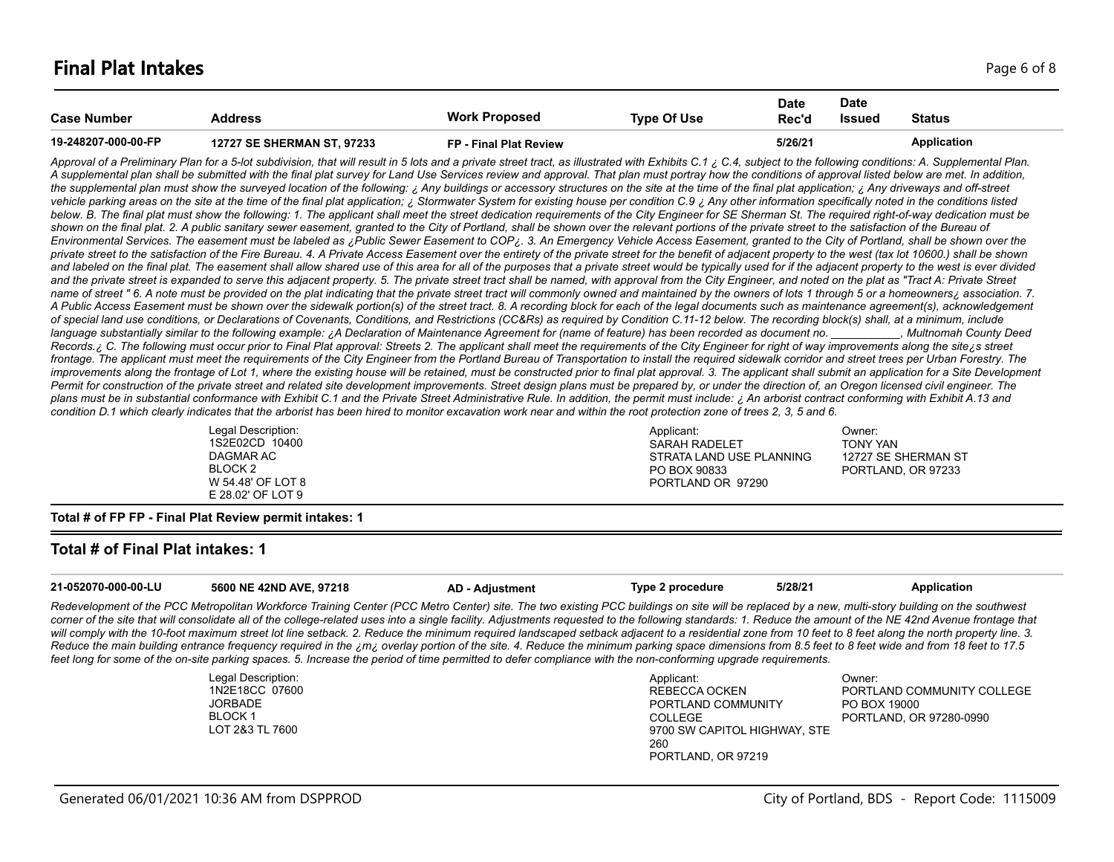| <b>Case Number</b>  | Address                           | <b>Work Proposed</b>   | <b>Type Of Use</b> | <b>Date</b><br>Rec'd | <b>Date</b><br>Issued | <b>Status</b> |
|---------------------|-----------------------------------|------------------------|--------------------|----------------------|-----------------------|---------------|
| 19-248207-000-00-FP | <b>12727 SE SHERMAN ST, 97233</b> | FP - Final Plat Review |                    | 5/26/21              |                       | Application   |

Approval of a Preliminary Plan for a 5-lot subdivision, that will result in 5 lots and a private street tract, as illustrated with Exhibits C.1 ¿ C.4, subject to the following conditions: A. Supplemental Plan. *A supplemental plan shall be submitted with the final plat survey for Land Use Services review and approval. That plan must portray how the conditions of approval listed below are met. In addition,*  the supplemental plan must show the surveyed location of the following: ¿ Any buildings or accessory structures on the site at the time of the final plat application; ¿ Any driveways and off-street vehicle parking areas on the site at the time of the final plat application; ¿ Stormwater System for existing house per condition C.9 ¿ Any other information specifically noted in the conditions listed below. B. The final plat must show the following: 1. The applicant shall meet the street dedication requirements of the City Engineer for SE Sherman St. The required right-of-way dedication must be shown on the final plat. 2. A public sanitary sewer easement, granted to the City of Portland, shall be shown over the relevant portions of the private street to the satisfaction of the Bureau of *Environmental Services. The easement must be labeled as ¿Public Sewer Easement to COP¿. 3. An Emergency Vehicle Access Easement, granted to the City of Portland, shall be shown over the private street to the satisfaction of the Fire Bureau. 4. A Private Access Easement over the entirety of the private street for the benefit of adjacent property to the west (tax lot 10600.) shall be shown*  and labeled on the final plat. The easement shall allow shared use of this area for all of the purposes that a private street would be typically used for if the adjacent property to the west is ever divided and the private street is expanded to serve this adjacent property. 5. The private street tract shall be named, with approval from the City Engineer, and noted on the plat as "Tract A: Private Street name of street " 6. A note must be provided on the plat indicating that the private street tract will commonly owned and maintained by the owners of lots 1 through 5 or a homeowners; association. 7. *A Public Access Easement must be shown over the sidewalk portion(s) of the street tract. 8. A recording block for each of the legal documents such as maintenance agreement(s), acknowledgement of special land use conditions, or Declarations of Covenants, Conditions, and Restrictions (CC&Rs) as required by Condition C.11-12 below. The recording block(s) shall, at a minimum, include*  language substantially similar to the following example: ¿A Declaration of Maintenance Agreement for (name of feature) has been recorded as document no. \_\_\_\_\_\_\_\_, Multnomah County Deed Records. ¿ C. The following must occur prior to Final Plat approval: Streets 2. The applicant shall meet the requirements of the City Engineer for right of way improvements along the site ¿s street frontage. The applicant must meet the requirements of the City Engineer from the Portland Bureau of Transportation to install the required sidewalk corridor and street trees per Urban Forestry. The improvements along the frontage of Lot 1, where the existing house will be retained, must be constructed prior to final plat approval. 3. The applicant shall submit an application for a Site Development Permit for construction of the private street and related site development improvements. Street design plans must be prepared by, or under the direction of, an Oregon licensed civil engineer. The *plans must be in substantial conformance with Exhibit C.1 and the Private Street Administrative Rule. In addition, the permit must include: ¿ An arborist contract conforming with Exhibit A.13 and condition D.1 which clearly indicates that the arborist has been hired to monitor excavation work near and within the root protection zone of trees 2, 3, 5 and 6.*

| Legal Description: | Applicant:               | ⊃wner:              |
|--------------------|--------------------------|---------------------|
| 1S2E02CD 10400     | SARAH RADELET            | <b>TONY YAN</b>     |
| DAGMAR AC          | STRATA LAND USE PLANNING | 12727 SE SHERMAN ST |
| BLOCK 2            | PO BOX 90833             | PORTLAND, OR 97233  |
| W 54.48' OF LOT 8  | PORTLAND OR 97290        |                     |
| E 28.02' OF LOT 9  |                          |                     |

**Total # of FP FP - Final Plat Review permit intakes: 1**

#### **Total # of Final Plat intakes: 1**

| 21-052070-000-00-LU | 5600 NE 42ND AVE. 97218                                                                                                                                                                                     | AD - Adiustment | Type 2 procedure | 5/28/21 | Application |
|---------------------|-------------------------------------------------------------------------------------------------------------------------------------------------------------------------------------------------------------|-----------------|------------------|---------|-------------|
|                     | Redevelopment of the PCC Metropolitan Workforce Training Center (PCC Metro Center) site. The two existing PCC buildings on site will be replaced by a new, multi-story building on the southwest            |                 |                  |         |             |
|                     | corner of the site that will consolidate all of the college-related uses into a single facility. Adjustments requested to the following standards: 1. Reduce the amount of the NE 42nd Avenue frontage that |                 |                  |         |             |
|                     | will comply with the 10-foot maximum street lot line setback. 2. Reduce the minimum required landscaped setback adjacent to a residential zone from 10 feet to 8 feet along the north property line. 3.     |                 |                  |         |             |

*Reduce the main building entrance frequency required in the ¿m¿ overlay portion of the site. 4. Reduce the minimum parking space dimensions from 8.5 feet to 8 feet wide and from 18 feet to 17.5 feet long for some of the on-site parking spaces. 5. Increase the period of time permitted to defer compliance with the non-conforming upgrade requirements.*

| Legal Description: |
|--------------------|
| 1N2E18CC 07600     |
| <b>JORBADE</b>     |
| BLOCK 1            |
| LOT 2&3 TL 7600    |

| Applicant:                   | Owner:                     |
|------------------------------|----------------------------|
| REBECCA OCKEN                | PORTLAND COMMUNITY COLLEGE |
| PORTLAND COMMUNITY           | PO BOX 19000               |
| COLLEGE                      | PORTLAND, OR 97280-0990    |
| 9700 SW CAPITOL HIGHWAY, STE |                            |
| 260                          |                            |
| PORTLAND, OR 97219           |                            |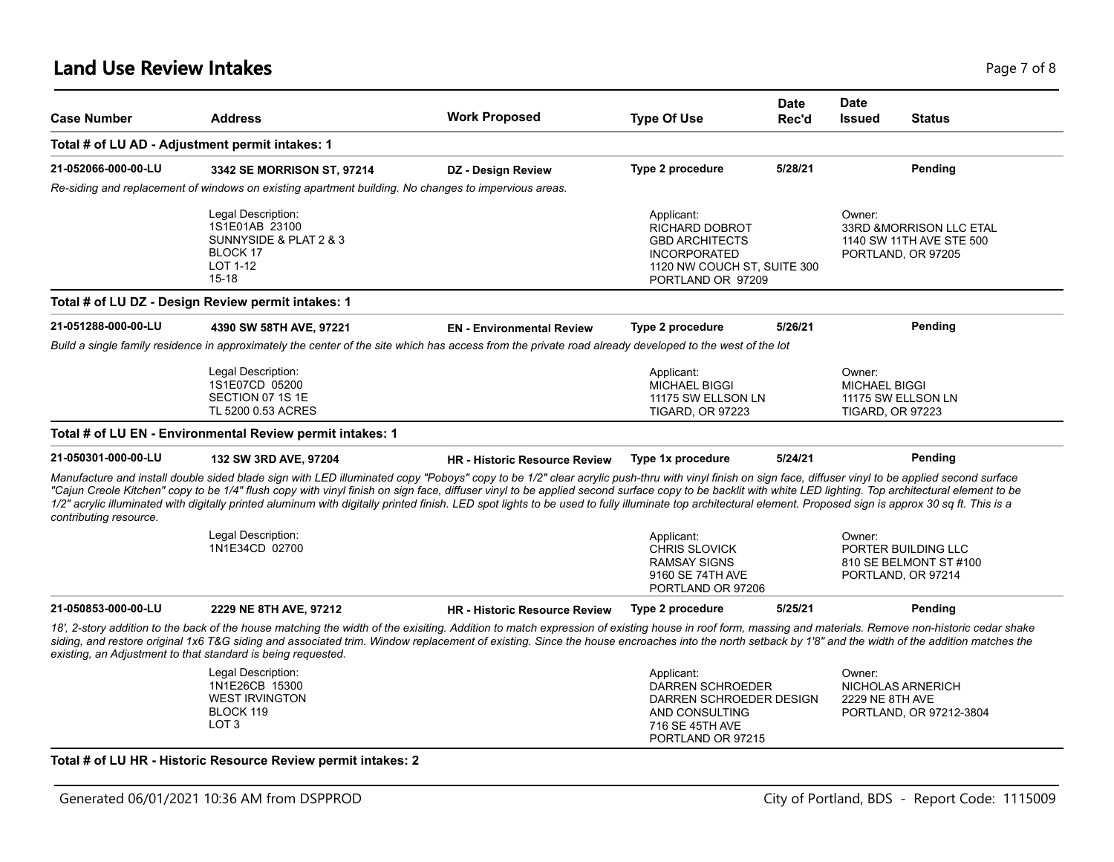#### **Land Use Review Intakes** Page 7 of 8

| <b>Case Number</b>     | <b>Address</b>                                                                                             | <b>Work Proposed</b>                                                                                                                                                                                                                                                                                                                                                                                                                                                                                                                                                                                                                 | <b>Type Of Use</b>                                                                                                                      | <b>Date</b><br>Rec'd | <b>Date</b><br><b>Issued</b>                              | <b>Status</b>                                                              |
|------------------------|------------------------------------------------------------------------------------------------------------|--------------------------------------------------------------------------------------------------------------------------------------------------------------------------------------------------------------------------------------------------------------------------------------------------------------------------------------------------------------------------------------------------------------------------------------------------------------------------------------------------------------------------------------------------------------------------------------------------------------------------------------|-----------------------------------------------------------------------------------------------------------------------------------------|----------------------|-----------------------------------------------------------|----------------------------------------------------------------------------|
|                        | Total # of LU AD - Adjustment permit intakes: 1                                                            |                                                                                                                                                                                                                                                                                                                                                                                                                                                                                                                                                                                                                                      |                                                                                                                                         |                      |                                                           |                                                                            |
| 21-052066-000-00-LU    | 3342 SE MORRISON ST, 97214                                                                                 | <b>DZ</b> - Design Review                                                                                                                                                                                                                                                                                                                                                                                                                                                                                                                                                                                                            | Type 2 procedure                                                                                                                        | 5/28/21              |                                                           | Pending                                                                    |
|                        | Re-siding and replacement of windows on existing apartment building. No changes to impervious areas.       |                                                                                                                                                                                                                                                                                                                                                                                                                                                                                                                                                                                                                                      |                                                                                                                                         |                      |                                                           |                                                                            |
|                        | Legal Description:<br>1S1E01AB 23100<br>SUNNYSIDE & PLAT 2 & 3<br><b>BLOCK 17</b><br>LOT 1-12<br>$15 - 18$ |                                                                                                                                                                                                                                                                                                                                                                                                                                                                                                                                                                                                                                      | Applicant:<br><b>RICHARD DOBROT</b><br><b>GBD ARCHITECTS</b><br><b>INCORPORATED</b><br>1120 NW COUCH ST, SUITE 300<br>PORTLAND OR 97209 |                      | Owner:                                                    | 33RD & MORRISON LLC ETAL<br>1140 SW 11TH AVE STE 500<br>PORTLAND, OR 97205 |
|                        | Total # of LU DZ - Design Review permit intakes: 1                                                         |                                                                                                                                                                                                                                                                                                                                                                                                                                                                                                                                                                                                                                      |                                                                                                                                         |                      |                                                           |                                                                            |
| 21-051288-000-00-LU    | 4390 SW 58TH AVE, 97221                                                                                    | <b>EN</b> - Environmental Review                                                                                                                                                                                                                                                                                                                                                                                                                                                                                                                                                                                                     | <b>Type 2 procedure</b>                                                                                                                 | 5/26/21              |                                                           | Pending                                                                    |
|                        |                                                                                                            | Build a single family residence in approximately the center of the site which has access from the private road already developed to the west of the lot                                                                                                                                                                                                                                                                                                                                                                                                                                                                              |                                                                                                                                         |                      |                                                           |                                                                            |
|                        | Legal Description:<br>1S1E07CD 05200<br>SECTION 07 1S 1E<br>TL 5200 0.53 ACRES                             |                                                                                                                                                                                                                                                                                                                                                                                                                                                                                                                                                                                                                                      | Applicant:<br><b>MICHAEL BIGGI</b><br>11175 SW ELLSON LN<br><b>TIGARD, OR 97223</b>                                                     |                      | Owner:<br><b>MICHAEL BIGGI</b><br><b>TIGARD, OR 97223</b> | 11175 SW ELLSON LN                                                         |
|                        | Total # of LU EN - Environmental Review permit intakes: 1                                                  |                                                                                                                                                                                                                                                                                                                                                                                                                                                                                                                                                                                                                                      |                                                                                                                                         |                      |                                                           |                                                                            |
| 21-050301-000-00-LU    | 132 SW 3RD AVE, 97204                                                                                      | <b>HR</b> - Historic Resource Review                                                                                                                                                                                                                                                                                                                                                                                                                                                                                                                                                                                                 | Type 1x procedure                                                                                                                       | 5/24/21              |                                                           | Pending                                                                    |
| contributing resource. |                                                                                                            | Manufacture and install double sided blade sign with LED illuminated copy "Poboys" copy to be 1/2" clear acrylic push-thru with vinyl finish on sign face, diffuser vinyl to be applied second surface<br>"Cajun Creole Kitchen" copy to be 1/4" flush copy with vinyl finish on sign face, diffuser vinyl to be applied second surface copy to be backlit with white LED lighting. Top architectural element to be<br>1/2" acrylic illuminated with digitally printed aluminum with digitally printed finish. LED spot lights to be used to fully illuminate top architectural element. Proposed sign is approx 30 sq ft. This is a |                                                                                                                                         |                      |                                                           |                                                                            |
|                        | Legal Description:<br>1N1E34CD 02700                                                                       |                                                                                                                                                                                                                                                                                                                                                                                                                                                                                                                                                                                                                                      | Applicant:<br><b>CHRIS SLOVICK</b><br><b>RAMSAY SIGNS</b><br>9160 SE 74TH AVE<br>PORTLAND OR 97206                                      |                      | Owner:                                                    | PORTER BUILDING LLC<br>810 SE BELMONT ST #100<br>PORTLAND, OR 97214        |
| 21-050853-000-00-LU    | 2229 NE 8TH AVE, 97212                                                                                     | <b>HR - Historic Resource Review</b>                                                                                                                                                                                                                                                                                                                                                                                                                                                                                                                                                                                                 | <b>Type 2 procedure</b>                                                                                                                 | 5/25/21              |                                                           | Pending                                                                    |
|                        | existing, an Adjustment to that standard is being requested.                                               | 18', 2-story addition to the back of the house matching the width of the exisiting. Addition to match expression of existing house in roof form, massing and materials. Remove non-historic cedar shake<br>siding, and restore original 1x6 T&G siding and associated trim. Window replacement of existing. Since the house encroaches into the north setback by 1'8" and the width of the addition matches the                                                                                                                                                                                                                      |                                                                                                                                         |                      |                                                           |                                                                            |
|                        | Legal Description:<br>1N1E26CB 15300<br><b>WEST IRVINGTON</b><br>BLOCK 119<br>LOT <sub>3</sub>             |                                                                                                                                                                                                                                                                                                                                                                                                                                                                                                                                                                                                                                      | Applicant:<br><b>DARREN SCHROEDER</b><br>DARREN SCHROEDER DESIGN<br>AND CONSULTING<br>716 SE 45TH AVE<br>PORTLAND OR 97215              |                      | Owner:<br>2229 NE 8TH AVE                                 | NICHOLAS ARNERICH<br>PORTLAND, OR 97212-3804                               |

#### **Total # of LU HR - Historic Resource Review permit intakes: 2**